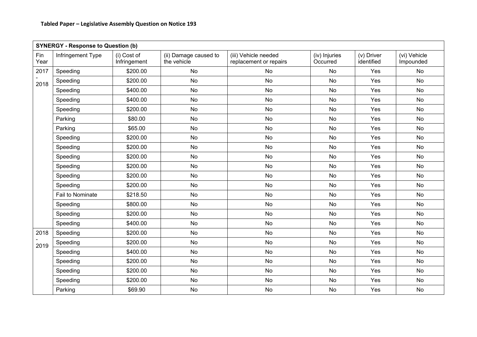| <b>SYNERGY - Response to Question (b)</b> |                   |                             |                                      |                                                |                           |                          |                           |  |
|-------------------------------------------|-------------------|-----------------------------|--------------------------------------|------------------------------------------------|---------------------------|--------------------------|---------------------------|--|
| Fin<br>Year                               | Infringement Type | (i) Cost of<br>Infringement | (ii) Damage caused to<br>the vehicle | (iii) Vehicle needed<br>replacement or repairs | (iv) Injuries<br>Occurred | (v) Driver<br>identified | (vi) Vehicle<br>Impounded |  |
| 2017                                      | Speeding          | \$200.00                    | <b>No</b>                            | No                                             | No                        | Yes                      | <b>No</b>                 |  |
| 2018                                      | Speeding          | \$200.00                    | <b>No</b>                            | <b>No</b>                                      | <b>No</b>                 | Yes                      | <b>No</b>                 |  |
|                                           | Speeding          | \$400.00                    | <b>No</b>                            | <b>No</b>                                      | <b>No</b>                 | Yes                      | <b>No</b>                 |  |
|                                           | Speeding          | \$400.00                    | <b>No</b>                            | No                                             | No                        | Yes                      | <b>No</b>                 |  |
|                                           | Speeding          | \$200.00                    | <b>No</b>                            | No                                             | No                        | Yes                      | <b>No</b>                 |  |
|                                           | Parking           | \$80.00                     | No                                   | No                                             | No                        | Yes                      | No                        |  |
|                                           | Parking           | \$65.00                     | <b>No</b>                            | No                                             | No                        | Yes                      | <b>No</b>                 |  |
|                                           | Speeding          | \$200.00                    | <b>No</b>                            | <b>No</b>                                      | <b>No</b>                 | Yes                      | <b>No</b>                 |  |
|                                           | Speeding          | \$200.00                    | <b>No</b>                            | No                                             | No                        | Yes                      | <b>No</b>                 |  |
|                                           | Speeding          | \$200.00                    | <b>No</b>                            | No                                             | No                        | Yes                      | <b>No</b>                 |  |
|                                           | Speeding          | \$200.00                    | <b>No</b>                            | No                                             | No                        | Yes                      | <b>No</b>                 |  |
|                                           | Speeding          | \$200.00                    | No                                   | No                                             | No                        | Yes                      | <b>No</b>                 |  |
|                                           | Speeding          | \$200.00                    | <b>No</b>                            | <b>No</b>                                      | <b>No</b>                 | Yes                      | <b>No</b>                 |  |
|                                           | Fail to Nominate  | \$218.50                    | No                                   | No                                             | No                        | Yes                      | <b>No</b>                 |  |
|                                           | Speeding          | \$800.00                    | <b>No</b>                            | No                                             | No                        | Yes                      | <b>No</b>                 |  |
|                                           | Speeding          | \$200.00                    | <b>No</b>                            | No                                             | No                        | Yes                      | <b>No</b>                 |  |
|                                           | Speeding          | \$400.00                    | <b>No</b>                            | No                                             | <b>No</b>                 | Yes                      | <b>No</b>                 |  |
| 2018                                      | Speeding          | \$200.00                    | <b>No</b>                            | No                                             | <b>No</b>                 | Yes                      | <b>No</b>                 |  |
| 2019                                      | Speeding          | \$200.00                    | No                                   | No                                             | No                        | Yes                      | No                        |  |
|                                           | Speeding          | \$400.00                    | No                                   | No                                             | No                        | Yes                      | No                        |  |
|                                           | Speeding          | \$200.00                    | <b>No</b>                            | No                                             | No                        | Yes                      | <b>No</b>                 |  |
|                                           | Speeding          | \$200.00                    | <b>No</b>                            | <b>No</b>                                      | <b>No</b>                 | Yes                      | <b>No</b>                 |  |
|                                           | Speeding          | \$200.00                    | No                                   | No                                             | No                        | Yes                      | No                        |  |
|                                           | Parking           | \$69.90                     | <b>No</b>                            | No                                             | <b>No</b>                 | Yes                      | <b>No</b>                 |  |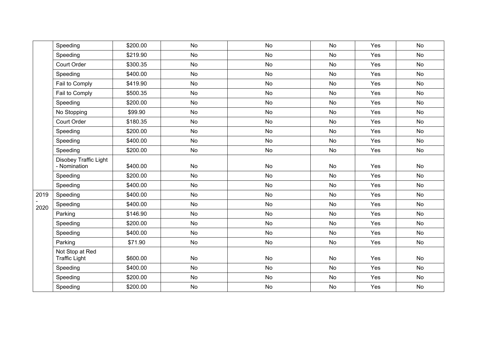|      | Speeding                                | \$200.00 | <b>No</b> | <b>No</b> | <b>No</b> | Yes | <b>No</b> |
|------|-----------------------------------------|----------|-----------|-----------|-----------|-----|-----------|
|      | Speeding                                | \$219.90 | No        | No        | No        | Yes | No        |
|      | Court Order                             | \$300.35 | <b>No</b> | <b>No</b> | <b>No</b> | Yes | <b>No</b> |
|      | Speeding                                | \$400.00 | No        | No        | No        | Yes | No        |
|      | Fail to Comply                          | \$419.90 | <b>No</b> | No        | <b>No</b> | Yes | <b>No</b> |
|      | Fail to Comply                          | \$500.35 | <b>No</b> | No        | <b>No</b> | Yes | <b>No</b> |
|      | Speeding                                | \$200.00 | <b>No</b> | No        | <b>No</b> | Yes | <b>No</b> |
|      | No Stopping                             | \$99.90  | No        | No        | No        | Yes | No        |
|      | <b>Court Order</b>                      | \$180.35 | No        | No        | No        | Yes | <b>No</b> |
|      | Speeding                                | \$200.00 | No        | No        | <b>No</b> | Yes | <b>No</b> |
|      | Speeding                                | \$400.00 | No        | No        | No        | Yes | No        |
|      | Speeding                                | \$200.00 | No        | No        | <b>No</b> | Yes | <b>No</b> |
|      | Disobey Traffic Light<br>- Nomination   | \$400.00 | <b>No</b> | No        | No        | Yes | <b>No</b> |
|      | Speeding                                | \$200.00 | <b>No</b> | <b>No</b> | <b>No</b> | Yes | <b>No</b> |
|      | Speeding                                | \$400.00 | <b>No</b> | No        | <b>No</b> | Yes | <b>No</b> |
| 2019 | Speeding                                | \$400.00 | No        | No        | <b>No</b> | Yes | <b>No</b> |
| 2020 | Speeding                                | \$400.00 | No        | No        | <b>No</b> | Yes | <b>No</b> |
|      | Parking                                 | \$146.90 | No        | No        | No        | Yes | No        |
|      | Speeding                                | \$200.00 | <b>No</b> | No        | <b>No</b> | Yes | <b>No</b> |
|      | Speeding                                | \$400.00 | <b>No</b> | No        | <b>No</b> | Yes | <b>No</b> |
|      | Parking                                 | \$71.90  | No        | No        | No        | Yes | No        |
|      | Not Stop at Red<br><b>Traffic Light</b> | \$600.00 | No        | No        | No        | Yes | No        |
|      | Speeding                                | \$400.00 | No        | No        | <b>No</b> | Yes | <b>No</b> |
|      | Speeding                                | \$200.00 | No        | No        | No        | Yes | No        |
|      | Speeding                                | \$200.00 | No        | No        | No        | Yes | <b>No</b> |